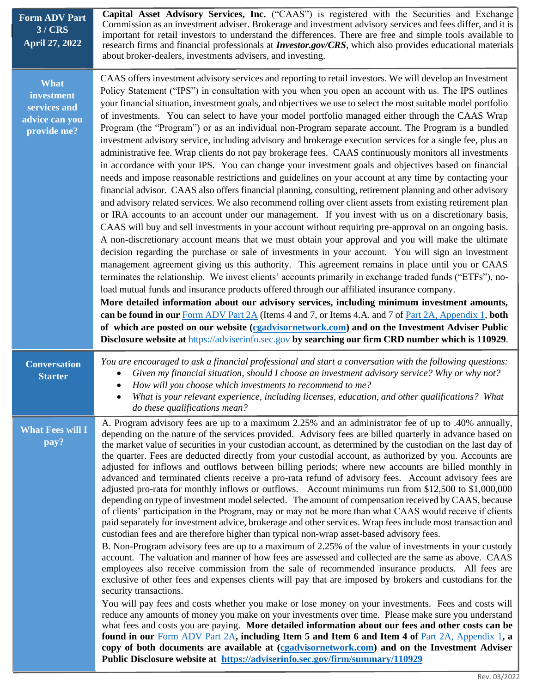| Capital Asset Advisory Services, Inc. ("CAAS") is registered with the Securities and Exchange<br>Commission as an investment adviser. Brokerage and investment advisory services and fees differ, and it is<br>important for retail investors to understand the differences. There are free and simple tools available to<br>research firms and financial professionals at <b>Investor.gov/CRS</b> , which also provides educational materials<br>about broker-dealers, investments advisers, and investing.                                                                                                                                                                                                                                                                                                                                                                                                                                                                                                                                                                                                                                                                                                                                                                                                                                                                                                                                                                                                                                                                                                                                                                                                                                                                                                                                                                                                                                                                                                                                                                                                                                                                                                                                                                                                                                                                    |
|---------------------------------------------------------------------------------------------------------------------------------------------------------------------------------------------------------------------------------------------------------------------------------------------------------------------------------------------------------------------------------------------------------------------------------------------------------------------------------------------------------------------------------------------------------------------------------------------------------------------------------------------------------------------------------------------------------------------------------------------------------------------------------------------------------------------------------------------------------------------------------------------------------------------------------------------------------------------------------------------------------------------------------------------------------------------------------------------------------------------------------------------------------------------------------------------------------------------------------------------------------------------------------------------------------------------------------------------------------------------------------------------------------------------------------------------------------------------------------------------------------------------------------------------------------------------------------------------------------------------------------------------------------------------------------------------------------------------------------------------------------------------------------------------------------------------------------------------------------------------------------------------------------------------------------------------------------------------------------------------------------------------------------------------------------------------------------------------------------------------------------------------------------------------------------------------------------------------------------------------------------------------------------------------------------------------------------------------------------------------------------|
| CAAS offers investment advisory services and reporting to retail investors. We will develop an Investment<br>Policy Statement ("IPS") in consultation with you when you open an account with us. The IPS outlines<br>your financial situation, investment goals, and objectives we use to select the most suitable model portfolio<br>of investments. You can select to have your model portfolio managed either through the CAAS Wrap<br>Program (the "Program") or as an individual non-Program separate account. The Program is a bundled<br>investment advisory service, including advisory and brokerage execution services for a single fee, plus an<br>administrative fee. Wrap clients do not pay brokerage fees. CAAS continuously monitors all investments<br>in accordance with your IPS. You can change your investment goals and objectives based on financial<br>needs and impose reasonable restrictions and guidelines on your account at any time by contacting your<br>financial advisor. CAAS also offers financial planning, consulting, retirement planning and other advisory<br>and advisory related services. We also recommend rolling over client assets from existing retirement plan<br>or IRA accounts to an account under our management. If you invest with us on a discretionary basis,<br>CAAS will buy and sell investments in your account without requiring pre-approval on an ongoing basis.<br>A non-discretionary account means that we must obtain your approval and you will make the ultimate<br>decision regarding the purchase or sale of investments in your account. You will sign an investment<br>management agreement giving us this authority. This agreement remains in place until you or CAAS<br>terminates the relationship. We invest clients' accounts primarily in exchange traded funds ("ETFs"), no-<br>load mutual funds and insurance products offered through our affiliated insurance company.<br>More detailed information about our advisory services, including minimum investment amounts,<br>can be found in our Form ADV Part 2A (Items 4 and 7, or Items 4.A. and 7 of Part 2A, Appendix 1, both<br>of which are posted on our website (cgadvisornetwork.com) and on the Investment Adviser Public<br>Disclosure website at https://adviserinfo.sec.gov by searching our firm CRD number which is 110929. |
| You are encouraged to ask a financial professional and start a conversation with the following questions:<br>Given my financial situation, should I choose an investment advisory service? Why or why not?<br>How will you choose which investments to recommend to me?<br>What is your relevant experience, including licenses, education, and other qualifications? What<br>$\bullet$<br>do these qualifications mean?                                                                                                                                                                                                                                                                                                                                                                                                                                                                                                                                                                                                                                                                                                                                                                                                                                                                                                                                                                                                                                                                                                                                                                                                                                                                                                                                                                                                                                                                                                                                                                                                                                                                                                                                                                                                                                                                                                                                                        |
| A. Program advisory fees are up to a maximum 2.25% and an administrator fee of up to .40% annually,<br>depending on the nature of the services provided. Advisory fees are billed quarterly in advance based on<br>the market value of securities in your custodian account, as determined by the custodian on the last day of<br>the quarter. Fees are deducted directly from your custodial account, as authorized by you. Accounts are<br>adjusted for inflows and outflows between billing periods; where new accounts are billed monthly in<br>advanced and terminated clients receive a pro-rata refund of advisory fees. Account advisory fees are<br>adjusted pro-rata for monthly inflows or outflows. Account minimums run from \$12,500 to \$1,000,000<br>depending on type of investment model selected. The amount of compensation received by CAAS, because<br>of clients' participation in the Program, may or may not be more than what CAAS would receive if clients<br>paid separately for investment advice, brokerage and other services. Wrap fees include most transaction and<br>custodian fees and are therefore higher than typical non-wrap asset-based advisory fees.<br>B. Non-Program advisory fees are up to a maximum of 2.25% of the value of investments in your custody<br>account. The valuation and manner of how fees are assessed and collected are the same as above. CAAS<br>employees also receive commission from the sale of recommended insurance products. All fees are<br>exclusive of other fees and expenses clients will pay that are imposed by brokers and custodians for the<br>security transactions.<br>You will pay fees and costs whether you make or lose money on your investments. Fees and costs will<br>reduce any amounts of money you make on your investments over time. Please make sure you understand<br>what fees and costs you are paying. More detailed information about our fees and other costs can be<br>found in our Form ADV Part 2A, including Item 5 and Item 6 and Item 4 of Part 2A, Appendix 1, a<br>copy of both documents are available at (egadvisornetwork.com) and on the Investment Adviser<br>Public Disclosure website at https://adviserinfo.sec.gov/firm/summary/110929                                                                                                              |
|                                                                                                                                                                                                                                                                                                                                                                                                                                                                                                                                                                                                                                                                                                                                                                                                                                                                                                                                                                                                                                                                                                                                                                                                                                                                                                                                                                                                                                                                                                                                                                                                                                                                                                                                                                                                                                                                                                                                                                                                                                                                                                                                                                                                                                                                                                                                                                                 |